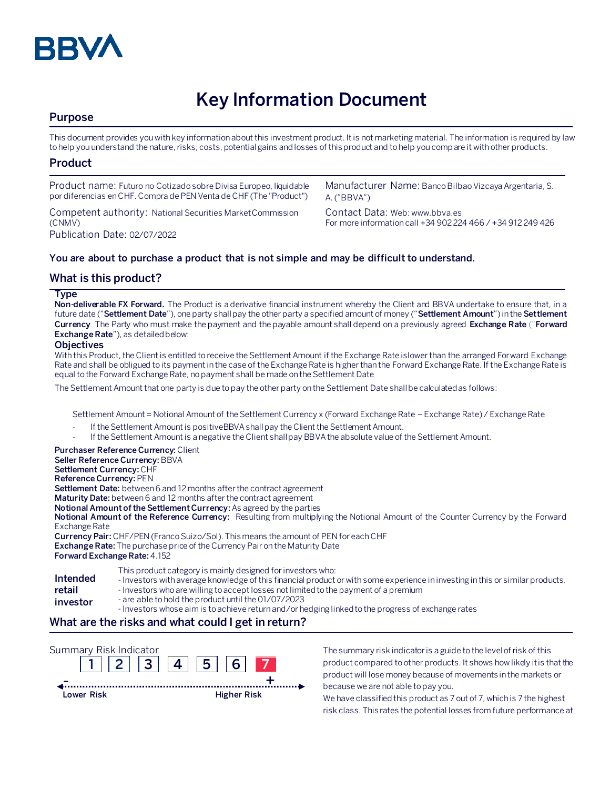

# **Key Information Document**

# **Purpose**

This document provides you with key information about this investment product. It is not marketing material. The information is required by law to help you understand the nature, risks, costs, potential gains and losses of this product and to help you compare it with other products.

# **Product**

| Product name: Futuro no Cotizado sobre Divisa Europeo, liquidable  | Manufacturer Name: Banco Bilbao Vizcaya Argentaria, S.      |
|--------------------------------------------------------------------|-------------------------------------------------------------|
| por diferencias en CHF. Compra de PEN Venta de CHF (The "Product") | A. ("BBVA")                                                 |
| Competent authority: National Securities Market Commission         | Contact Data: Web: www.bbya.es                              |
| (CNMV)                                                             | For more information call +34 902 224 466 / +34 912 249 426 |
| Publication Date: 02/07/2022                                       |                                                             |

### **You are about to purchase a product that is not simple and may be difficult to understand.**

# **What is this product?**

#### **Type**

**Non-deliverable FX Forward.** The Product is a derivative financial instrument whereby the Client and BBVA undertake to ensure that, in a future date ("**Settlement Date**"), one party shall pay the other party a specified amount of money ("**Settlement Amount**") in the **Settlement Currency**. The Party who must make the payment and the payable amount shall depend on a previously agreed **Exchange Rate** ("**Forward Exchange Rate**"), as detailed below:

#### **Objectives**

With this Product, the Client is entitled to receive the Settlement Amount if the Exchange Rate islower than the arranged Forward Exchange Rate and shall be obligued to its payment in the case of the Exchange Rate is higher than the Forward Exchange Rate. If the Exchange Rate is equal to the Forward Exchange Rate, no payment shall be made on the Settlement Date

The Settlement Amount that one party is due to pay the other party on the Settlement Date shall be calculated as follows:

Settlement Amount = Notional Amount of the Settlement Currency x (Forward Exchange Rate – Exchange Rate) / Exchange Rate

- If the Settlement Amount is positiveBBVA shall pay the Client the Settlement Amount.
- If the Settlement Amount is a negative the Client shall pay BBVA the absolute value of the Settlement Amount.

### **Purchaser Reference Currency:**Client

**Seller Reference Currency:** BBVA **Settlement Currency:** CHF

**Reference Currency:** PEN

**Settlement Date:** between 6 and 12 months after the contract agreement

**Maturity Date:** between 6 and 12 months after the contract agreement

**Notional Amount of the Settlement Currency:** As agreed by the parties

**Notional Amount of the Reference Currency:** Resulting from multiplying the Notional Amount of the Counter Currency by the Forward Exchange Rate

**Currency Pair:** CHF/PEN (Franco Suizo/Sol). This means the amount of PEN for each CHF **Exchange Rate:** The purchase price of the Currency Pair on the Maturity Date **Forward Exchange Rate:** 4.152

|          | This product category is mainly designed for investors who:                                                                    |
|----------|--------------------------------------------------------------------------------------------------------------------------------|
| Intended | - Investors with average knowledge of this financial product or with some experience in investing in this or similar products. |
| retail   | - Investors who are willing to accept losses not limited to the payment of a premium                                           |
| investor | - are able to hold the product until the 01/07/2023                                                                            |

- Investors whose aim is to achieve return and/or hedging linked to the progress of exchange rates

# **What are the risks and what could I get in return?**



The summary risk indicator is a guide to the level of risk of this product compared to other products. It shows how likely it is that the product will lose money because of movements in the markets or because we are not able to pay you.

We have classified this product as 7 out of 7, which is 7 the highest risk class. This rates the potential losses from future performance at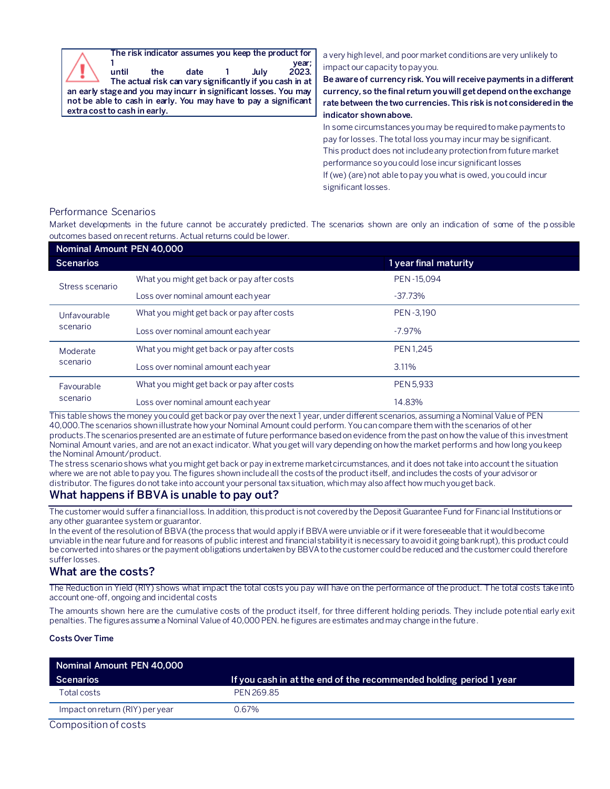**The risk indicator assumes you keep the product for 1 year; until the date 1 July 2023. The actual risk can vary significantly if you cash in at an early stage and you may incurr in significant losses. You may not be able to cash in early. You may have to pay a significant extra cost to cash in early.** a very high level, and poor market conditions are very unlikely to impact our capacity to pay you. **Be aware of currency risk. You will receive payments in a different currency, so the final return you will get depend on the exchange rate between the two currencies. This risk is not considered in the indicator shown above.** In some circumstances you may be required to make payments to pay for losses. The total loss you may incur may be significant. This product does not include any protection from future market performance so you could lose incur significant losses If (we) (are) not able to pay you what is owed, you could incur

#### Performance Scenarios

Market developments in the future cannot be accurately predicted. The scenarios shown are only an indication of some of the p ossible outcomes based on recent returns. Actual returns could be lower.

significant losses.

| Nominal Amount PEN 40,000 |                                            |                       |  |  |
|---------------------------|--------------------------------------------|-----------------------|--|--|
| <b>Scenarios</b>          |                                            | 1 year final maturity |  |  |
| Stress scenario           | What you might get back or pay after costs | PEN-15.094            |  |  |
|                           | Loss over nominal amount each year         | $-37.73%$             |  |  |
| Unfavourable<br>scenario  | What you might get back or pay after costs | PEN-3,190             |  |  |
|                           | Loss over nominal amount each year         | $-7.97\%$             |  |  |
| Moderate<br>scenario      | What you might get back or pay after costs | <b>PEN 1.245</b>      |  |  |
|                           | Loss over nominal amount each year         | 3.11%                 |  |  |
| Favourable<br>scenario    | What you might get back or pay after costs | PEN 5,933             |  |  |
|                           | Loss over nominal amount each year         | 14.83%                |  |  |

This table shows the money you could get back or pay over the next 1 year, under different scenarios, assuming a Nominal Value of PEN 40,000.The scenarios shown illustrate how your Nominal Amount could perform. You can compare them with the scenarios of other products.The scenarios presented are an estimate of future performance based on evidence from the past on how the value of this investment Nominal Amount varies, and are not an exact indicator. What you get will vary depending on how the market performs and how long you keep the Nominal Amount/product.

The stress scenario shows what you might get back or pay in extreme market circumstances, and it does not take into account the situation where we are not able to pay you. The figures shown include all the costs of the product itself, and includes the costs of your advisor or distributor. The figures do not take into account your personal tax situation, which may also affect how much you get back.

# **What happens if BBVA is unable to pay out?**

The customer would suffer a financial loss. In addition, this product is not covered by the Deposit Guarantee Fund for Financial Institutions or any other guarantee system or guarantor.

In the event of the resolution of BBVA (the process that would apply if BBVA were unviable or if it were foreseeable that it would become unviable in the near future and for reasons of public interest and financial stability it is necessary to avoid it going bankrupt), this product could be converted into shares or the payment obligations undertaken by BBVA to the customer could be reduced and the customer could therefore suffer losses.

### **What are the costs?**

The Reduction in Yield (RIY) shows what impact the total costs you pay will have on the performance of the product. The total costs take into account one-off, ongoing and incidental costs

The amounts shown here are the cumulative costs of the product itself, for three different holding periods. They include potential early exit penalties. The figures assume a Nominal Value of 40,000 PEN. he figures are estimates and may change in the future.

#### **Costs Over Time**

| Nominal Amount PEN 40,000                              |                                                                    |  |
|--------------------------------------------------------|--------------------------------------------------------------------|--|
| Scenarios                                              | If you cash in at the end of the recommended holding period 1 year |  |
| Total costs                                            | PFN 269.85                                                         |  |
| Impact on return (RIY) per year                        | 0.67%                                                              |  |
| $O = 1.1$ and $O = 1.11$ and $O = 1.11$ and $O = 1.11$ |                                                                    |  |

Composition of costs